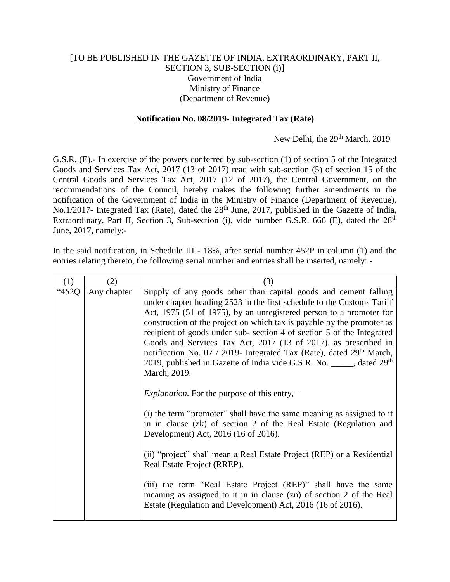## [TO BE PUBLISHED IN THE GAZETTE OF INDIA, EXTRAORDINARY, PART II, SECTION 3, SUB-SECTION (i)] Government of India Ministry of Finance (Department of Revenue)

## **Notification No. 08/2019- Integrated Tax (Rate)**

New Delhi, the 29<sup>th</sup> March, 2019

G.S.R. (E).- In exercise of the powers conferred by sub-section (1) of section 5 of the Integrated Goods and Services Tax Act, 2017 (13 of 2017) read with sub-section (5) of section 15 of the Central Goods and Services Tax Act, 2017 (12 of 2017), the Central Government, on the recommendations of the Council, hereby makes the following further amendments in the notification of the Government of India in the Ministry of Finance (Department of Revenue), No.1/2017- Integrated Tax (Rate), dated the 28<sup>th</sup> June, 2017, published in the Gazette of India, Extraordinary, Part II, Section 3, Sub-section (i), vide number G.S.R. 666 (E), dated the 28<sup>th</sup> June, 2017, namely:-

In the said notification, in Schedule III - 18%, after serial number 452P in column (1) and the entries relating thereto, the following serial number and entries shall be inserted, namely: -

| (1)   | (2)         | (3)                                                                                                                                                                                                                                                                                                                                                                                                                                                                                                                                                                                                                             |
|-------|-------------|---------------------------------------------------------------------------------------------------------------------------------------------------------------------------------------------------------------------------------------------------------------------------------------------------------------------------------------------------------------------------------------------------------------------------------------------------------------------------------------------------------------------------------------------------------------------------------------------------------------------------------|
| "452Q | Any chapter | Supply of any goods other than capital goods and cement falling<br>under chapter heading 2523 in the first schedule to the Customs Tariff<br>Act, 1975 (51 of 1975), by an unregistered person to a promoter for<br>construction of the project on which tax is payable by the promoter as<br>recipient of goods under sub-section 4 of section 5 of the Integrated<br>Goods and Services Tax Act, 2017 (13 of 2017), as prescribed in<br>notification No. 07 / 2019- Integrated Tax (Rate), dated 29 <sup>th</sup> March,<br>2019, published in Gazette of India vide G.S.R. No. _____, dated 29 <sup>th</sup><br>March, 2019. |
|       |             | <i>Explanation.</i> For the purpose of this entry, $-$                                                                                                                                                                                                                                                                                                                                                                                                                                                                                                                                                                          |
|       |             | (i) the term "promoter" shall have the same meaning as assigned to it<br>in in clause (zk) of section 2 of the Real Estate (Regulation and<br>Development) Act, 2016 (16 of 2016).                                                                                                                                                                                                                                                                                                                                                                                                                                              |
|       |             | (ii) "project" shall mean a Real Estate Project (REP) or a Residential<br>Real Estate Project (RREP).                                                                                                                                                                                                                                                                                                                                                                                                                                                                                                                           |
|       |             | (iii) the term "Real Estate Project (REP)" shall have the same<br>meaning as assigned to it in in clause (zn) of section 2 of the Real<br>Estate (Regulation and Development) Act, 2016 (16 of 2016).                                                                                                                                                                                                                                                                                                                                                                                                                           |